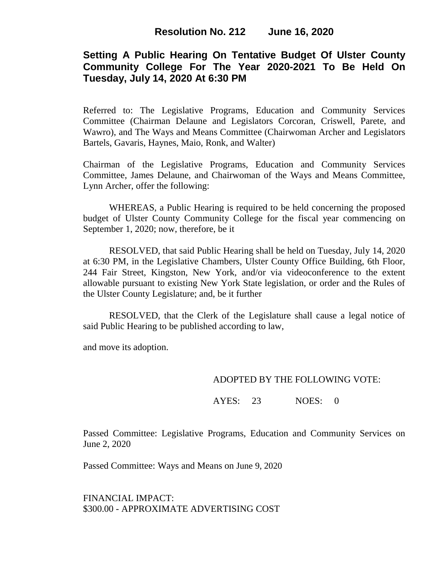## **Setting A Public Hearing On Tentative Budget Of Ulster County Community College For The Year 2020-2021 To Be Held On Tuesday, July 14, 2020 At 6:30 PM**

Referred to: The Legislative Programs, Education and Community Services Committee (Chairman Delaune and Legislators Corcoran, Criswell, Parete, and Wawro), and The Ways and Means Committee (Chairwoman Archer and Legislators Bartels, Gavaris, Haynes, Maio, Ronk, and Walter)

Chairman of the Legislative Programs, Education and Community Services Committee, James Delaune, and Chairwoman of the Ways and Means Committee, Lynn Archer, offer the following:

WHEREAS, a Public Hearing is required to be held concerning the proposed budget of Ulster County Community College for the fiscal year commencing on September 1, 2020; now, therefore, be it

RESOLVED, that said Public Hearing shall be held on Tuesday, July 14, 2020 at 6:30 PM, in the Legislative Chambers, Ulster County Office Building, 6th Floor, 244 Fair Street, Kingston, New York, and/or via videoconference to the extent allowable pursuant to existing New York State legislation, or order and the Rules of the Ulster County Legislature; and, be it further

RESOLVED, that the Clerk of the Legislature shall cause a legal notice of said Public Hearing to be published according to law,

and move its adoption.

### ADOPTED BY THE FOLLOWING VOTE:

AYES: 23 NOES: 0

Passed Committee: Legislative Programs, Education and Community Services on June 2, 2020

Passed Committee: Ways and Means on June 9, 2020

FINANCIAL IMPACT: \$300.00 - APPROXIMATE ADVERTISING COST